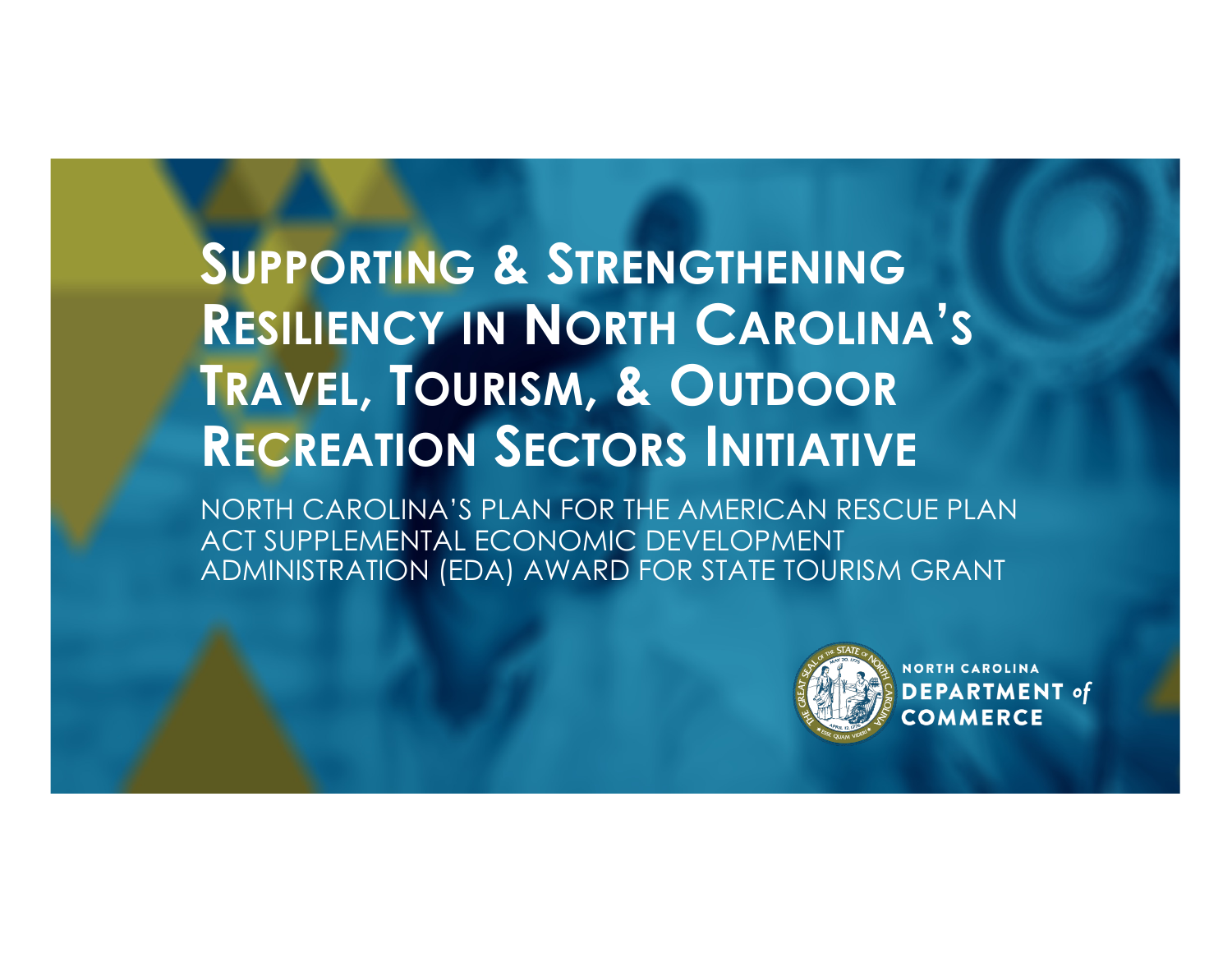## **SUPPORTING & STRENGTHENING RESILIENCY IN NORTH CAROLINA'S TRAVEL, TOURISM, & OUTDOOR RECREATION SECTORS INITIATIVE**

NORTH CAROLINA'S PLAN FOR THE AMERICAN RESCUE PLAN ACT SUPPLEMENTAL ECONOMIC DEVELOPMENT ADMINISTRATION (EDA) AWARD FOR STATE TOURISM GRANT

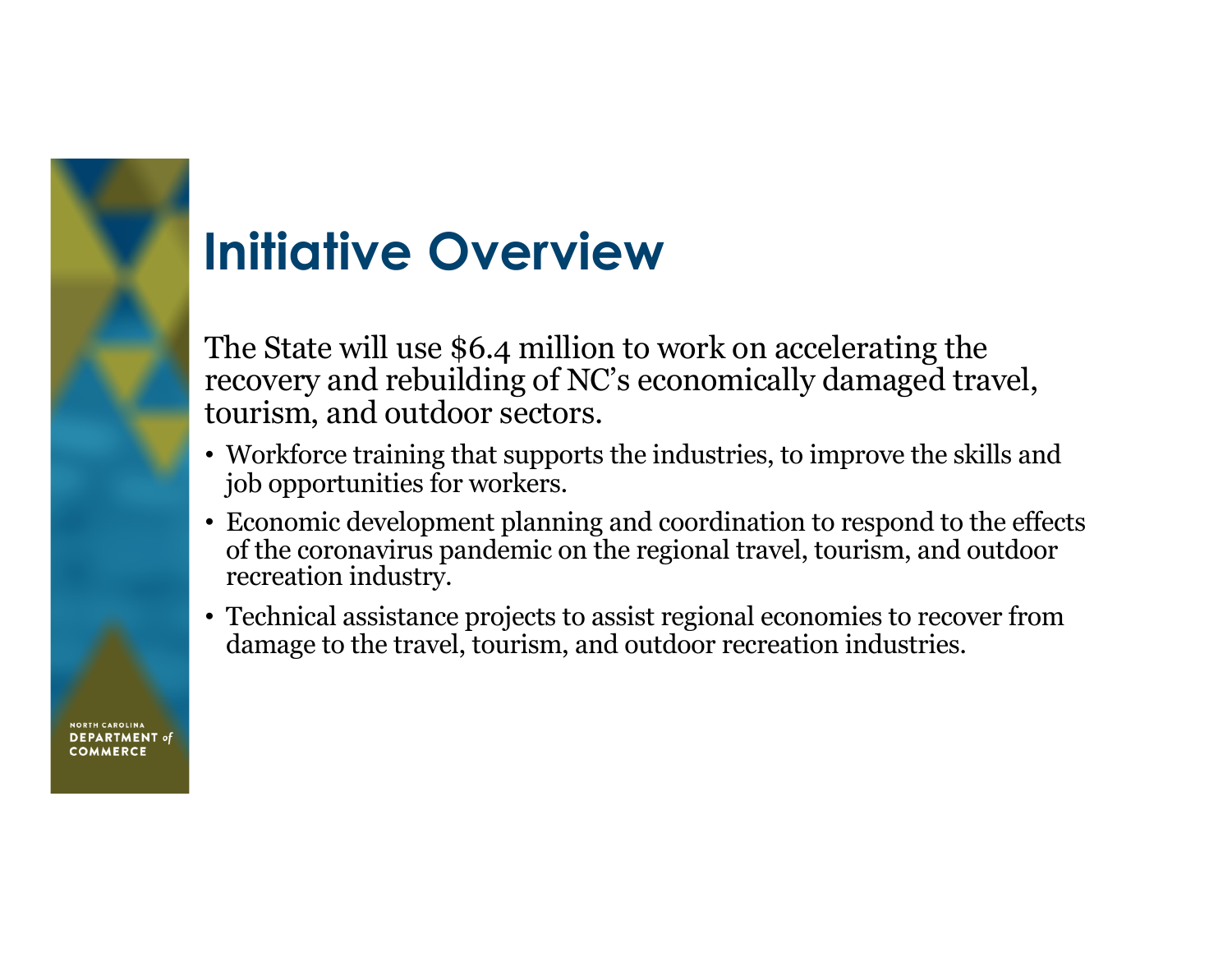## **Initiative Overview**

The State will use \$6.4 million to work on accelerating the recovery and rebuilding of NC's economically damaged travel, tourism, and outdoor sectors.

- Workforce training that supports the industries, to improve the skills and job opportunities for workers.
- Economic development planning and coordination to respond to the effects of the coronavirus pandemic on the regional travel, tourism, and outdoor recreation industry.
- Technical assistance projects to assist regional economies to recover from damage to the travel, tourism, and outdoor recreation industries.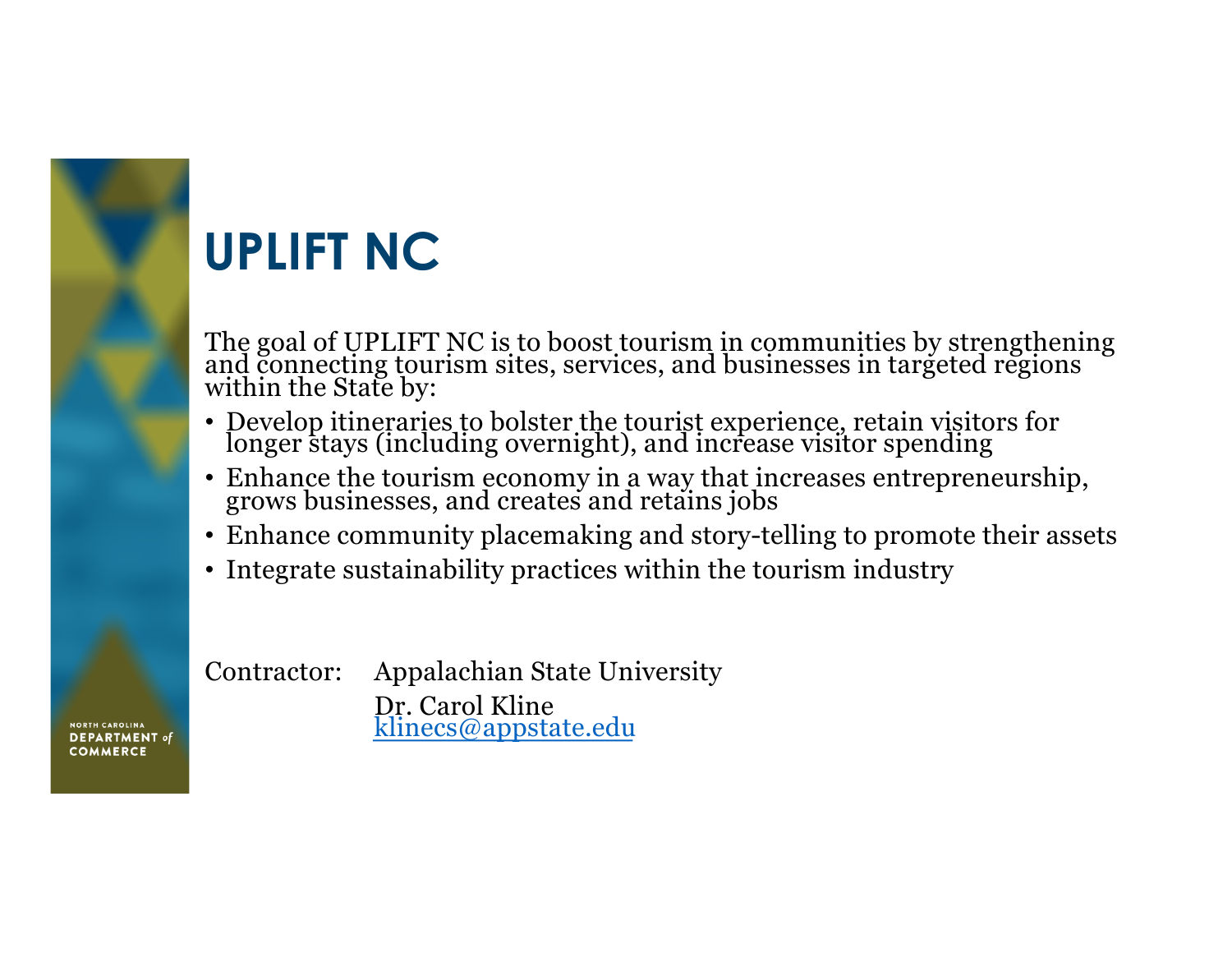## **UPLIFT NC**

The goal of UPLIFT NC is to boost tourism in communities by strengthening and connecting tourism sites, services, and businesses in targeted regions within the State by:

- Develop itineraries to bolster the tourist experience, retain visitors for longer stays (including overnight), and increase visitor spending
- Enhance the tourism economy in a way that increases entrepreneurship, grows businesses, and creates and retains jobs
- Enhance community placemaking and story-telling to promote their assets
- Integrate sustainability practices within the tourism industry

Contractor: Appalachian State University Dr. Carol Kline [klinecs@appstate.](mailto:klinecs@appstate.edu)edu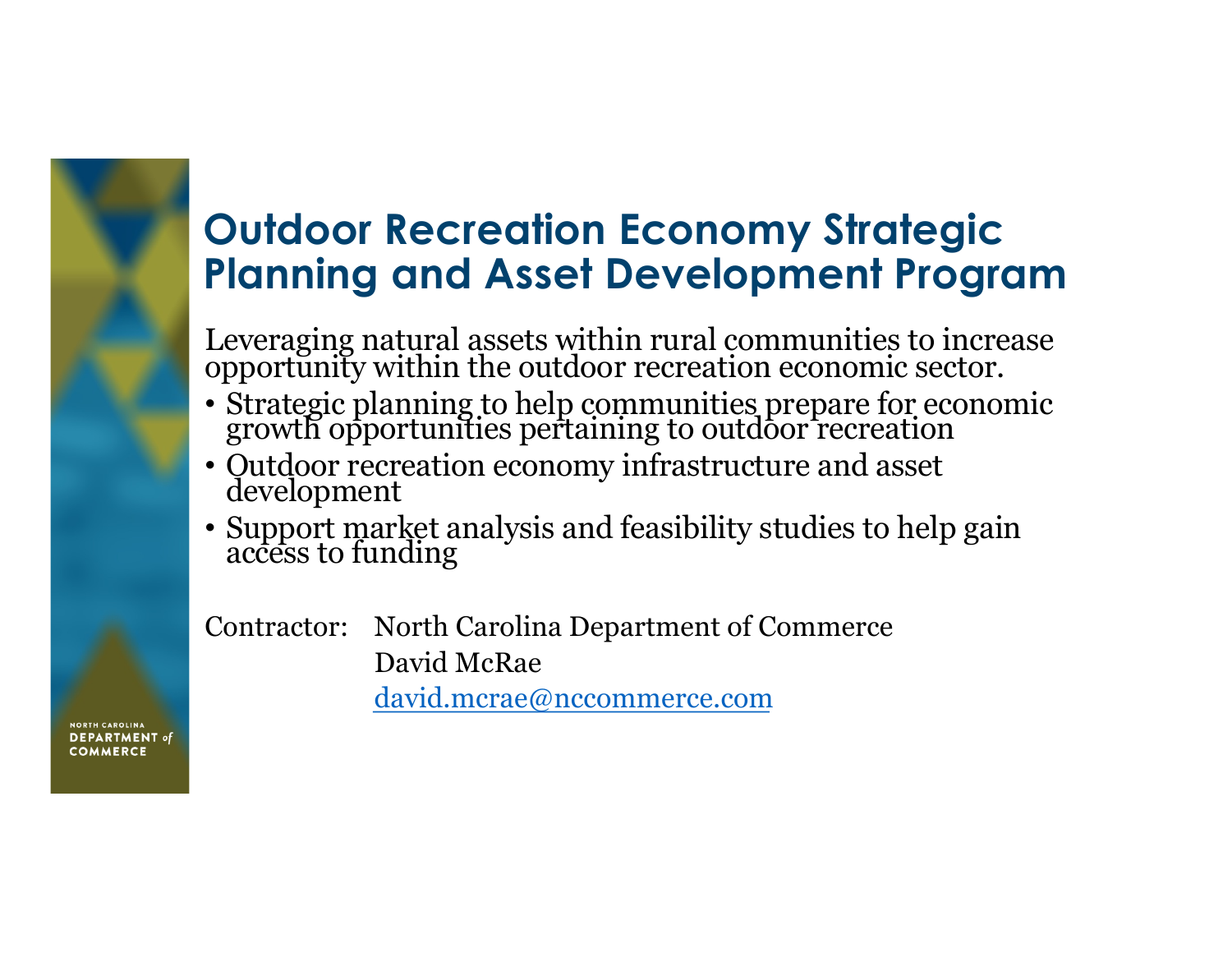#### **Outdoor Recreation Economy Strategic Planning and Asset Development Program**

Leveraging natural assets within rural communities to increase opportunity within the outdoor recreation economic sector.

- Strategic planning to help communities prepare for economic growth opportunities pertaining to outdoor recreation
- Outdoor recreation economy infrastructure and asset development
- Support market analysis and feasibility studies to help gain access to funding

Contractor: North Carolina Department of Commerce David McRae

[david.mcrae@nccommerce.c](mailto:david.mcrae@nccommerce.com)om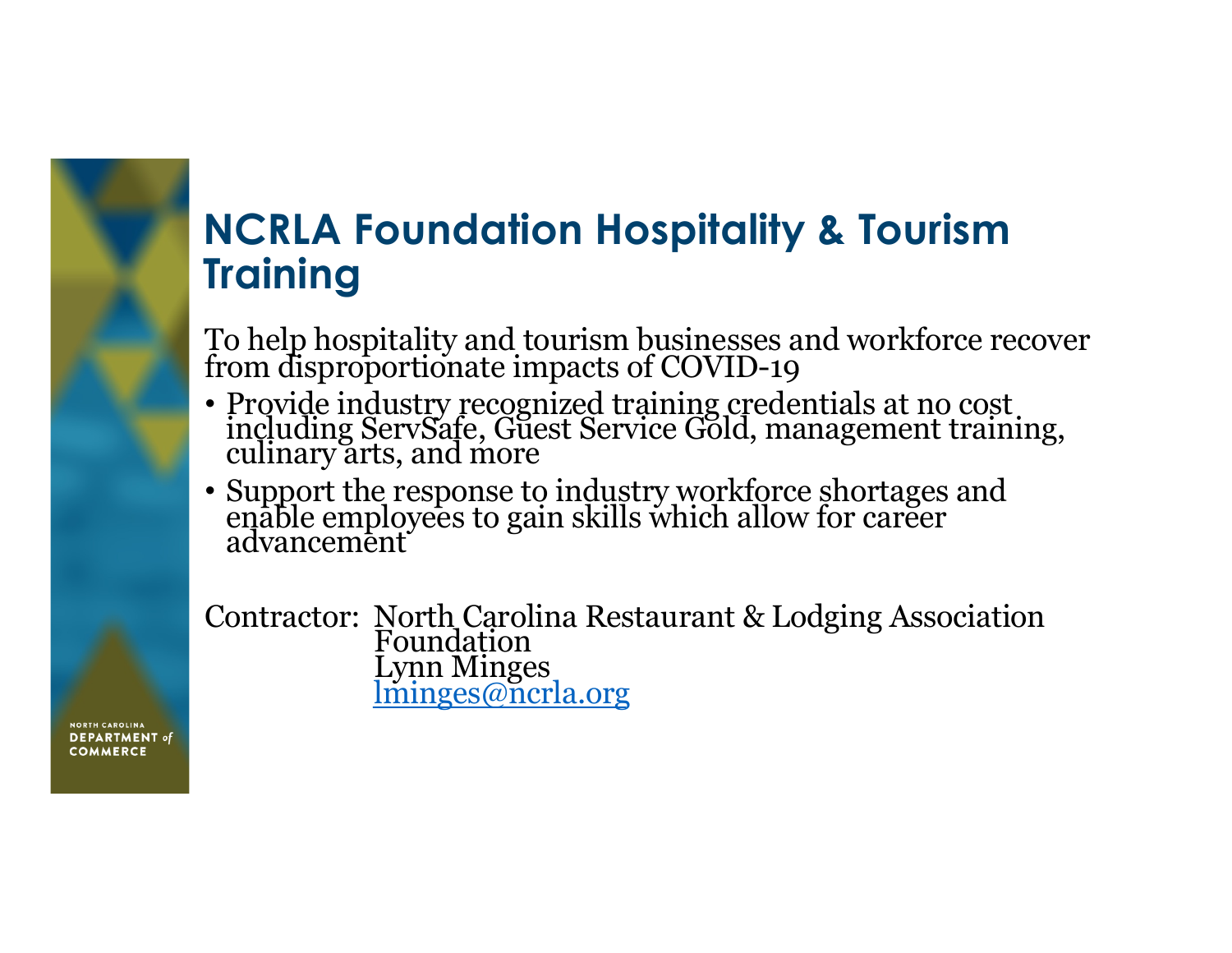#### **NCRLA Foundation Hospitality & Tourism Training**

To help hospitality and tourism businesses and workforce recover from disproportionate impacts of COVID-19

- Provide industry recognized training credentials at no cost including ServSafe, Guest Service Gold, management training, culinary arts, and more
- Support the response to industry workforce shortages and enable employees to gain skills which allow for career advancement

Contractor: North Carolina Restaurant & Lodging Association **Foundation** Lynn Minges [lminges@ncrla.](mailto:lminges@ncrla.org)org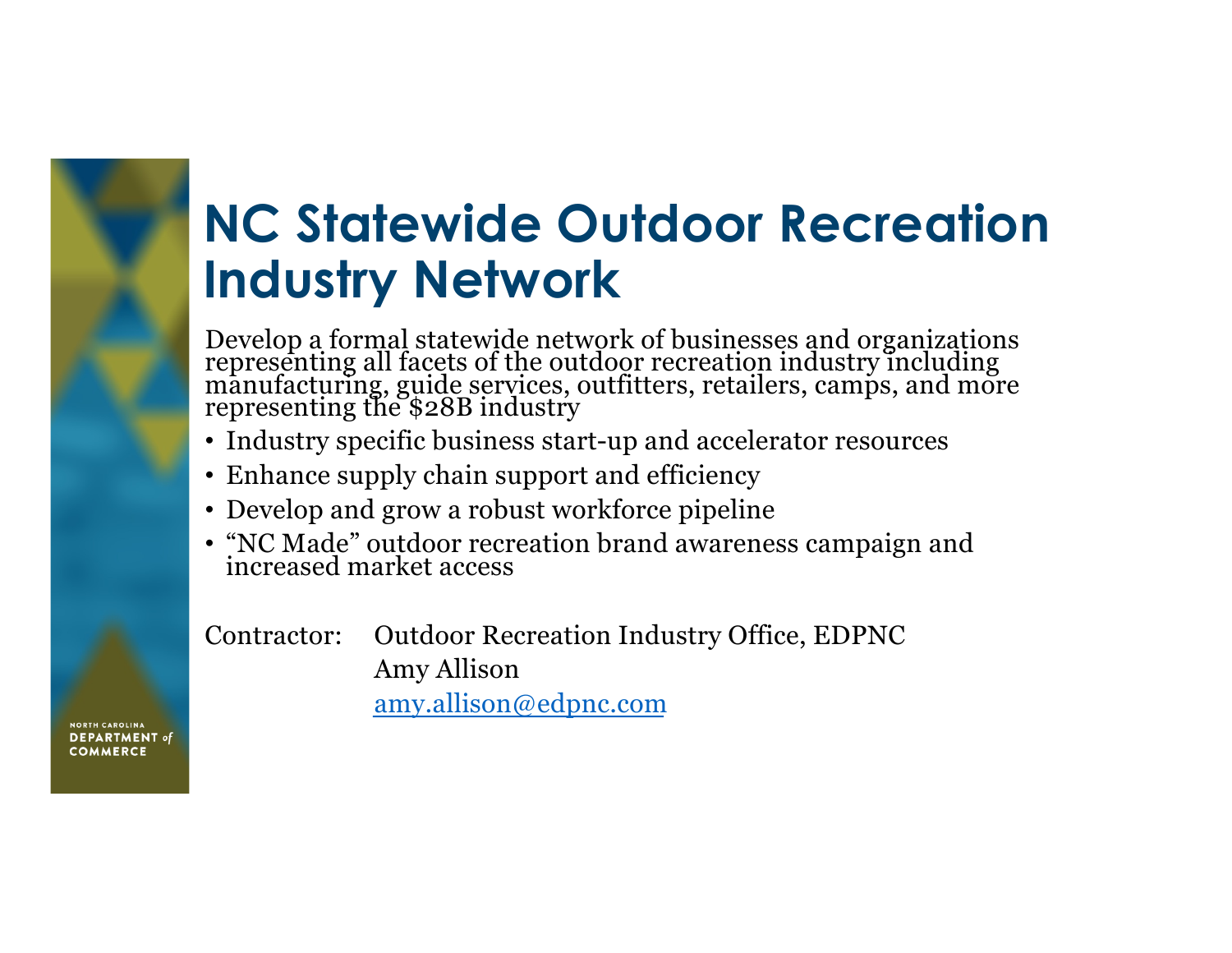### **NC Statewide Outdoor Recreation Industry Network**

Develop a formal statewide network of businesses and organizations representing all facets of the outdoor recreation industry including manufacturing, guide services, outfitters, retailers, camps, and more representing the \$28B industry

- Industry specific business start-up and accelerator resources
- Enhance supply chain support and efficiency
- Develop and grow a robust workforce pipeline
- "NC Made" outdoor recreation brand awareness campaign and increased market access

Contractor: Outdoor Recreation Industry Office, EDPNC Amy Allison

[amy.allison@edpnc.](mailto:amy.allison@edpnc.com)com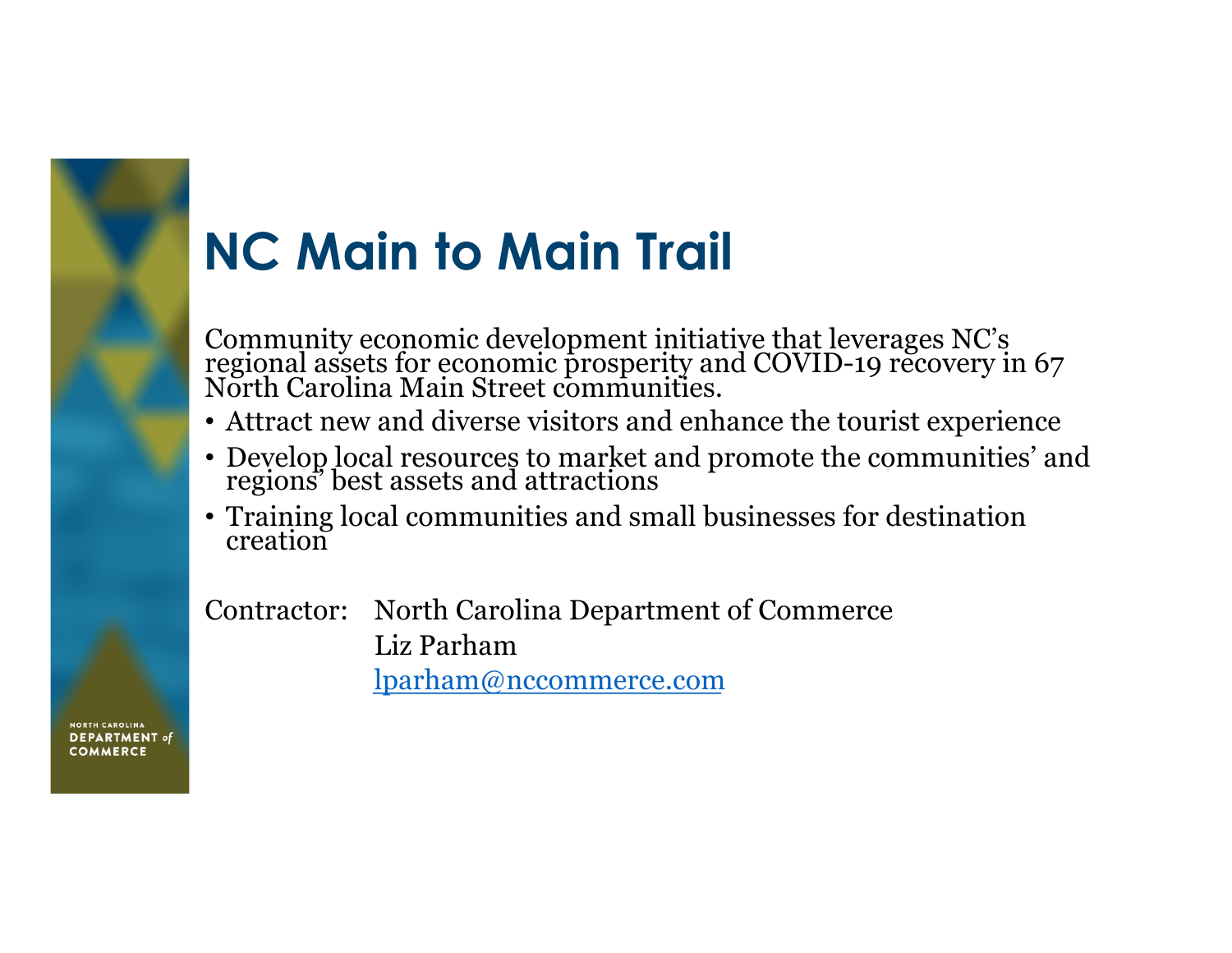# **NC Main to Main Trail**

Community economic development initiative that leverages NC's regional assets for economic prosperity and COVID-19 recovery in 67<br>North Carolina Main Street communities.

- Attract new and diverse visitors and enhance the tourist experience
- Develop local resources to market and promote the communities' and regions' best assets and attractions
- Training local communities and small businesses for destination creation

Contractor: North Carolina Department of Commerce Liz Parham [lparham@nccommerce.c](mailto:lparham@nccommerce.com)om